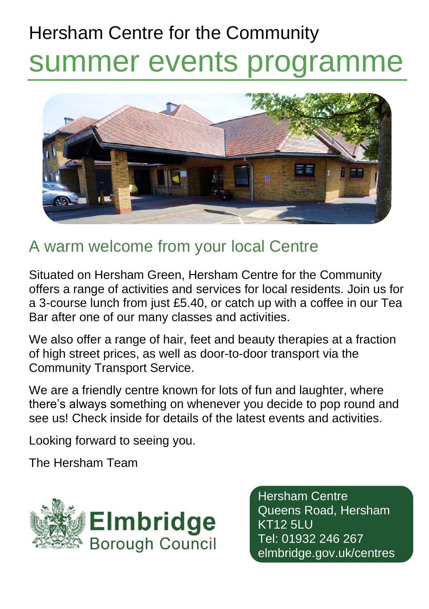# Hersham Centre for the Community summer events programme



## A warm welcome from your local Centre

Situated on Hersham Green, Hersham Centre for the Community offers a range of activities and services for local residents. Join us for a 3-course lunch from just £5.40, or catch up with a coffee in our Tea Bar after one of our many classes and activities.

We also offer a range of hair, feet and beauty therapies at a fraction of high street prices, as well as door-to-door transport via the Community Transport Service.

We are a friendly centre known for lots of fun and laughter, where there's always something on whenever you decide to pop round and see us! Check inside for details of the latest events and activities.

Looking forward to seeing you.

The Hersham Team



Hersham Centre Queens Road, Hersham KT12 5LU Tel: 01932 246 267 elmbridge.gov.uk/centres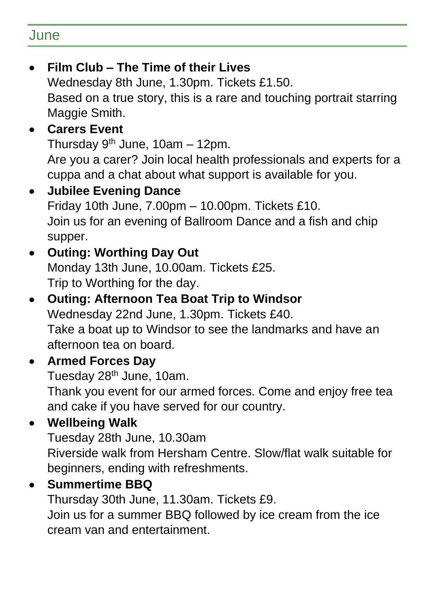#### June

• **Film Club – The Time of their Lives** Wednesday 8th June, 1.30pm. Tickets £1.50. Based on a true story, this is a rare and touching portrait starring Maggie Smith. • **Carers Event** Thursday  $9<sup>th</sup>$  June, 10am - 12pm. Are you a carer? Join local health professionals and experts for a cuppa and a chat about what support is available for you. • **Jubilee Evening Dance** Friday 10th June, 7.00pm – 10.00pm. Tickets £10. Join us for an evening of Ballroom Dance and a fish and chip supper. • **Outing: Worthing Day Out** Monday 13th June, 10.00am. Tickets £25. Trip to Worthing for the day. • **Outing: Afternoon Tea Boat Trip to Windsor** Wednesday 22nd June, 1.30pm. Tickets £40. Take a boat up to Windsor to see the landmarks and have an afternoon tea on board. • **Armed Forces Day** Tuesday 28<sup>th</sup> June, 10am. Thank you event for our armed forces. Come and enjoy free tea and cake if you have served for our country. • **Wellbeing Walk** Tuesday 28th June, 10.30am Riverside walk from Hersham Centre. Slow/flat walk suitable for beginners, ending with refreshments. • **Summertime BBQ** Thursday 30th June, 11.30am. Tickets £9. Join us for a summer BBQ followed by ice cream from the ice

cream van and entertainment.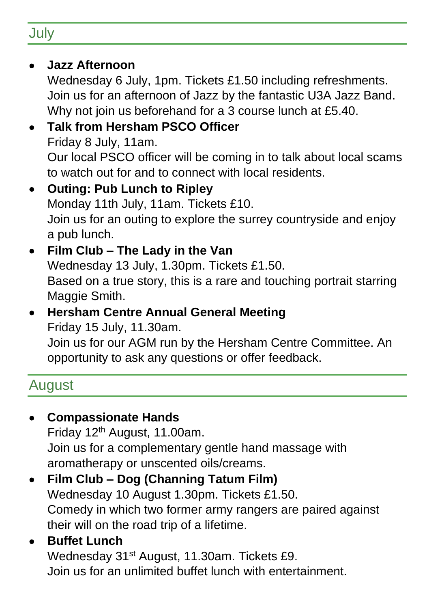## **July**

#### • **Jazz Afternoon**

Wednesday 6 July, 1pm. Tickets £1.50 including refreshments. Join us for an afternoon of Jazz by the fantastic U3A Jazz Band. Why not join us beforehand for a 3 course lunch at £5.40.

#### • **Talk from Hersham PSCO Officer** Friday 8 July, 11am. Our local PSCO officer will be coming in to talk about local scams to watch out for and to connect with local residents.

#### • **Outing: Pub Lunch to Ripley** Monday 11th July, 11am. Tickets £10. Join us for an outing to explore the surrey countryside and enjoy a pub lunch.

#### • **Film Club – The Lady in the Van** Wednesday 13 July, 1.30pm. Tickets £1.50. Based on a true story, this is a rare and touching portrait starring Maggie Smith.

## • **Hersham Centre Annual General Meeting** Friday 15 July, 11.30am.

Join us for our AGM run by the Hersham Centre Committee. An opportunity to ask any questions or offer feedback.

## **August**

### • **Compassionate Hands**

Friday 12<sup>th</sup> August, 11.00am. Join us for a complementary gentle hand massage with aromatherapy or unscented oils/creams.

## • **Film Club – Dog (Channing Tatum Film)**

Wednesday 10 August 1.30pm. Tickets £1.50. Comedy in which two former army rangers are paired against their will on the road trip of a lifetime.

#### • **Buffet Lunch**

Wednesday 31st August, 11.30am. Tickets £9. Join us for an unlimited buffet lunch with entertainment.